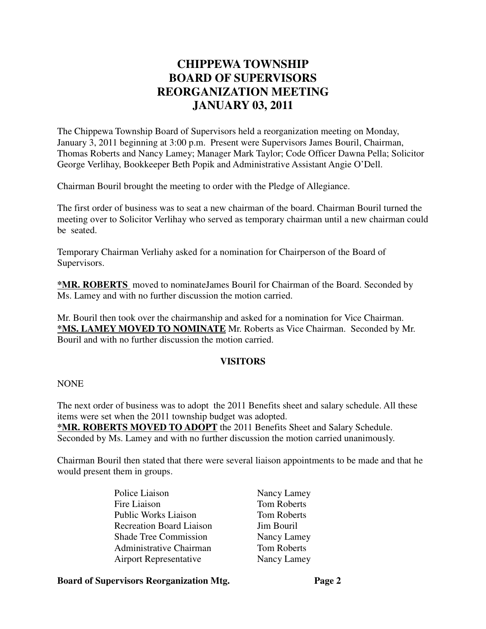# **CHIPPEWA TOWNSHIP BOARD OF SUPERVISORS REORGANIZATION MEETING JANUARY 03, 2011**

The Chippewa Township Board of Supervisors held a reorganization meeting on Monday, January 3, 2011 beginning at 3:00 p.m. Present were Supervisors James Bouril, Chairman, Thomas Roberts and Nancy Lamey; Manager Mark Taylor; Code Officer Dawna Pella; Solicitor George Verlihay, Bookkeeper Beth Popik and Administrative Assistant Angie O'Dell.

Chairman Bouril brought the meeting to order with the Pledge of Allegiance.

The first order of business was to seat a new chairman of the board. Chairman Bouril turned the meeting over to Solicitor Verlihay who served as temporary chairman until a new chairman could be seated.

Temporary Chairman Verliahy asked for a nomination for Chairperson of the Board of Supervisors.

**\*MR. ROBERTS** moved to nominateJames Bouril for Chairman of the Board. Seconded by Ms. Lamey and with no further discussion the motion carried.

Mr. Bouril then took over the chairmanship and asked for a nomination for Vice Chairman. **\*MS. LAMEY MOVED TO NOMINATE** Mr. Roberts as Vice Chairman. Seconded by Mr. Bouril and with no further discussion the motion carried.

#### **VISITORS**

NONE

The next order of business was to adopt the 2011 Benefits sheet and salary schedule. All these items were set when the 2011 township budget was adopted.

**\*MR. ROBERTS MOVED TO ADOPT** the 2011 Benefits Sheet and Salary Schedule. Seconded by Ms. Lamey and with no further discussion the motion carried unanimously.

Chairman Bouril then stated that there were several liaison appointments to be made and that he would present them in groups.

> Police Liaison Nancy Lamey Fire Liaison Tom Roberts Public Works Liaison Tom Roberts Recreation Board Liaison Jim Bouril Shade Tree Commission Nancy Lamey Administrative Chairman Tom Roberts Airport Representative Nancy Lamey

#### **Board of Supervisors Reorganization Mtg. Page 2**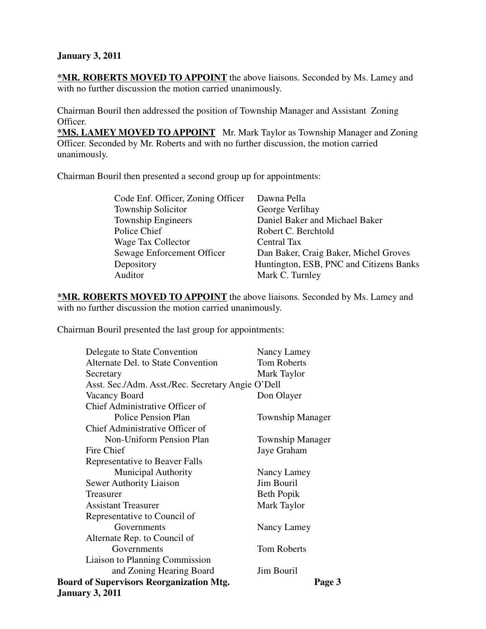#### **January 3, 2011**

**\*MR. ROBERTS MOVED TO APPOINT** the above liaisons. Seconded by Ms. Lamey and with no further discussion the motion carried unanimously.

Chairman Bouril then addressed the position of Township Manager and Assistant Zoning Officer.

**\*MS. LAMEY MOVED TO APPOINT** Mr. Mark Taylor as Township Manager and Zoning Officer. Seconded by Mr. Roberts and with no further discussion, the motion carried unanimously.

Chairman Bouril then presented a second group up for appointments:

| Code Enf. Officer, Zoning Officer | Dawna Pella                             |
|-----------------------------------|-----------------------------------------|
| <b>Township Solicitor</b>         | George Verlihay                         |
| <b>Township Engineers</b>         | Daniel Baker and Michael Baker          |
| Police Chief                      | Robert C. Berchtold                     |
| Wage Tax Collector                | Central Tax                             |
| Sewage Enforcement Officer        | Dan Baker, Craig Baker, Michel Groves   |
| Depository                        | Huntington, ESB, PNC and Citizens Banks |
| Auditor                           | Mark C. Turnley                         |
|                                   |                                         |

**\*MR. ROBERTS MOVED TO APPOINT** the above liaisons. Seconded by Ms. Lamey and with no further discussion the motion carried unanimously.

Chairman Bouril presented the last group for appointments:

| Delegate to State Convention                              | Nancy Lamey             |  |
|-----------------------------------------------------------|-------------------------|--|
| Alternate Del. to State Convention                        | <b>Tom Roberts</b>      |  |
| Secretary                                                 | Mark Taylor             |  |
| Asst. Sec./Adm. Asst./Rec. Secretary Angie O'Dell         |                         |  |
| Vacancy Board                                             | Don Olayer              |  |
| Chief Administrative Officer of                           |                         |  |
| Police Pension Plan                                       | <b>Township Manager</b> |  |
| Chief Administrative Officer of                           |                         |  |
| Non-Uniform Pension Plan                                  | <b>Township Manager</b> |  |
| Fire Chief                                                | Jaye Graham             |  |
| Representative to Beaver Falls                            |                         |  |
| <b>Municipal Authority</b>                                | Nancy Lamey             |  |
| <b>Sewer Authority Liaison</b>                            | Jim Bouril              |  |
| Treasurer                                                 | Beth Popik              |  |
| <b>Assistant Treasurer</b>                                | Mark Taylor             |  |
| Representative to Council of                              |                         |  |
| Governments                                               | Nancy Lamey             |  |
| Alternate Rep. to Council of                              |                         |  |
| Governments                                               | <b>Tom Roberts</b>      |  |
| Liaison to Planning Commission                            |                         |  |
| and Zoning Hearing Board                                  | Jim Bouril              |  |
| <b>Board of Supervisors Reorganization Mtg.</b><br>Page 3 |                         |  |
| <b>January 3, 2011</b>                                    |                         |  |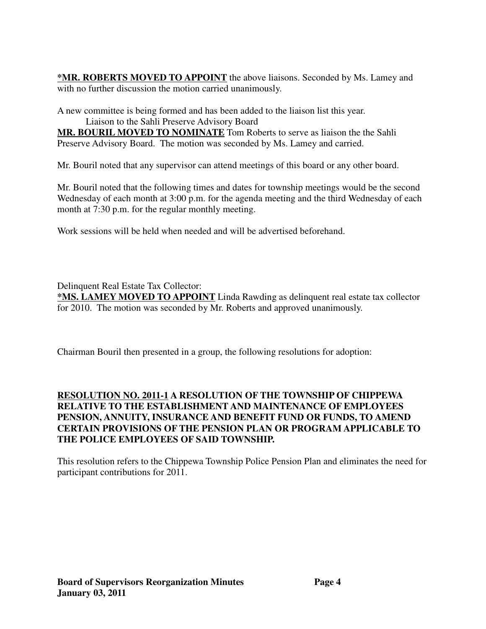**\*MR. ROBERTS MOVED TO APPOINT** the above liaisons. Seconded by Ms. Lamey and with no further discussion the motion carried unanimously.

A new committee is being formed and has been added to the liaison list this year. Liaison to the Sahli Preserve Advisory Board

**MR. BOURIL MOVED TO NOMINATE** Tom Roberts to serve as liaison the the Sahli Preserve Advisory Board. The motion was seconded by Ms. Lamey and carried.

Mr. Bouril noted that any supervisor can attend meetings of this board or any other board.

Mr. Bouril noted that the following times and dates for township meetings would be the second Wednesday of each month at 3:00 p.m. for the agenda meeting and the third Wednesday of each month at 7:30 p.m. for the regular monthly meeting.

Work sessions will be held when needed and will be advertised beforehand.

Delinquent Real Estate Tax Collector:

**\*MS. LAMEY MOVED TO APPOINT** Linda Rawding as delinquent real estate tax collector for 2010. The motion was seconded by Mr. Roberts and approved unanimously.

Chairman Bouril then presented in a group, the following resolutions for adoption:

### **RESOLUTION NO. 2011-1 A RESOLUTION OF THE TOWNSHIP OF CHIPPEWA RELATIVE TO THE ESTABLISHMENT AND MAINTENANCE OF EMPLOYEES PENSION, ANNUITY, INSURANCE AND BENEFIT FUND OR FUNDS, TO AMEND CERTAIN PROVISIONS OF THE PENSION PLAN OR PROGRAM APPLICABLE TO THE POLICE EMPLOYEES OF SAID TOWNSHIP.**

This resolution refers to the Chippewa Township Police Pension Plan and eliminates the need for participant contributions for 2011.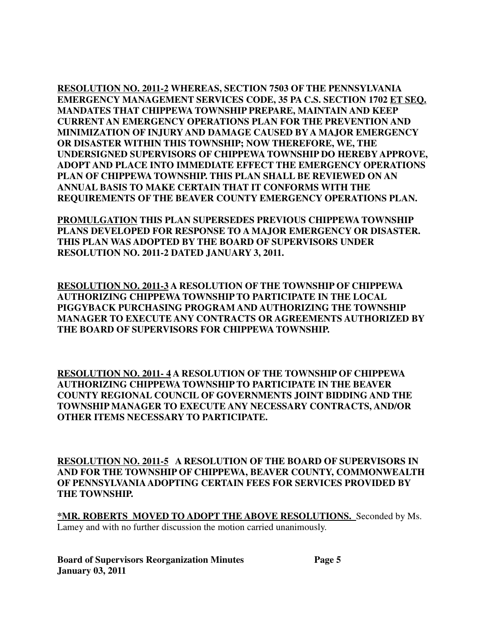**RESOLUTION NO. 2011-2 WHEREAS, SECTION 7503 OF THE PENNSYLVANIA EMERGENCY MANAGEMENT SERVICES CODE, 35 PA C.S. SECTION 1702 ET SEQ. MANDATES THAT CHIPPEWA TOWNSHIP PREPARE, MAINTAIN AND KEEP CURRENT AN EMERGENCY OPERATIONS PLAN FOR THE PREVENTION AND MINIMIZATION OF INJURY AND DAMAGE CAUSED BY A MAJOR EMERGENCY OR DISASTER WITHIN THIS TOWNSHIP; NOW THEREFORE, WE, THE UNDERSIGNED SUPERVISORS OF CHIPPEWA TOWNSHIP DO HEREBY APPROVE, ADOPT AND PLACE INTO IMMEDIATE EFFECT THE EMERGENCY OPERATIONS PLAN OF CHIPPEWA TOWNSHIP. THIS PLAN SHALL BE REVIEWED ON AN ANNUAL BASIS TO MAKE CERTAIN THAT IT CONFORMS WITH THE REQUIREMENTS OF THE BEAVER COUNTY EMERGENCY OPERATIONS PLAN.**

**PROMULGATION THIS PLAN SUPERSEDES PREVIOUS CHIPPEWA TOWNSHIP PLANS DEVELOPED FOR RESPONSE TO A MAJOR EMERGENCY OR DISASTER. THIS PLAN WAS ADOPTED BY THE BOARD OF SUPERVISORS UNDER RESOLUTION NO. 2011-2 DATED JANUARY 3, 2011.**

**RESOLUTION NO. 2011-3 A RESOLUTION OF THE TOWNSHIP OF CHIPPEWA AUTHORIZING CHIPPEWA TOWNSHIP TO PARTICIPATE IN THE LOCAL PIGGYBACK PURCHASING PROGRAM AND AUTHORIZING THE TOWNSHIP MANAGER TO EXECUTE ANY CONTRACTS OR AGREEMENTS AUTHORIZED BY THE BOARD OF SUPERVISORS FOR CHIPPEWA TOWNSHIP.**

**RESOLUTION NO. 2011- 4 A RESOLUTION OF THE TOWNSHIP OF CHIPPEWA AUTHORIZING CHIPPEWA TOWNSHIP TO PARTICIPATE IN THE BEAVER COUNTY REGIONAL COUNCIL OF GOVERNMENTS JOINT BIDDING AND THE TOWNSHIP MANAGER TO EXECUTE ANY NECESSARY CONTRACTS, AND/OR OTHER ITEMS NECESSARY TO PARTICIPATE.**

**RESOLUTION NO. 2011-5 A RESOLUTION OF THE BOARD OF SUPERVISORS IN AND FOR THE TOWNSHIP OF CHIPPEWA, BEAVER COUNTY, COMMONWEALTH OF PENNSYLVANIA ADOPTING CERTAIN FEES FOR SERVICES PROVIDED BY THE TOWNSHIP.**

**\*MR. ROBERTS MOVED TO ADOPT THE ABOVE RESOLUTIONS.** Seconded by Ms. Lamey and with no further discussion the motion carried unanimously.

**Board of Supervisors Reorganization Minutes Page 5 January 03, 2011**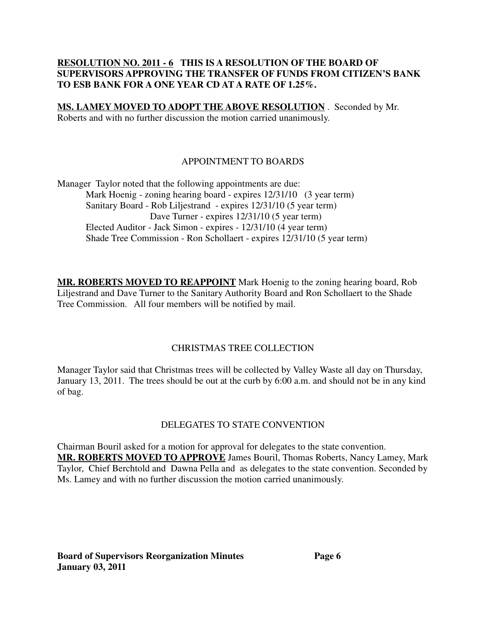#### **RESOLUTION NO. 2011 - 6 THIS IS A RESOLUTION OF THE BOARD OF SUPERVISORS APPROVING THE TRANSFER OF FUNDS FROM CITIZEN'S BANK TO ESB BANK FOR A ONE YEAR CD AT A RATE OF 1.25%.**

**MS. LAMEY MOVED TO ADOPT THE ABOVE RESOLUTION** . Seconded by Mr. Roberts and with no further discussion the motion carried unanimously.

## APPOINTMENT TO BOARDS

Manager Taylor noted that the following appointments are due: Mark Hoenig - zoning hearing board - expires  $12/31/10$  (3 year term) Sanitary Board - Rob Liljestrand - expires 12/31/10 (5 year term) Dave Turner - expires  $12/31/10$  (5 year term) Elected Auditor - Jack Simon - expires - 12/31/10 (4 year term) Shade Tree Commission - Ron Schollaert - expires 12/31/10 (5 year term)

**MR. ROBERTS MOVED TO REAPPOINT** Mark Hoenig to the zoning hearing board, Rob Liljestrand and Dave Turner to the Sanitary Authority Board and Ron Schollaert to the Shade Tree Commission. All four members will be notified by mail.

#### CHRISTMAS TREE COLLECTION

Manager Taylor said that Christmas trees will be collected by Valley Waste all day on Thursday, January 13, 2011. The trees should be out at the curb by 6:00 a.m. and should not be in any kind of bag.

## DELEGATES TO STATE CONVENTION

Chairman Bouril asked for a motion for approval for delegates to the state convention. **MR. ROBERTS MOVED TO APPROVE** James Bouril, Thomas Roberts, Nancy Lamey, Mark Taylor, Chief Berchtold and Dawna Pella and as delegates to the state convention. Seconded by Ms. Lamey and with no further discussion the motion carried unanimously.

**Board of Supervisors Reorganization Minutes Page 6 January 03, 2011**